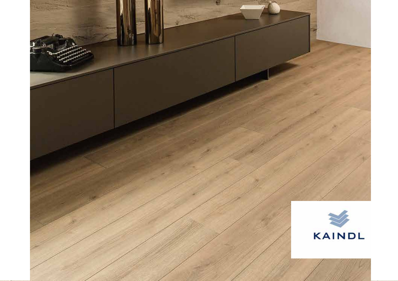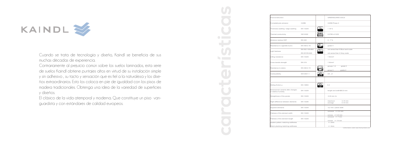|            | Floorconstruction                                          |                                |                       | <b>GREENGUARD GOLD</b>                                          |
|------------|------------------------------------------------------------|--------------------------------|-----------------------|-----------------------------------------------------------------|
|            | Formaldehyde emission                                      | CARB                           |                       | CARB Phase 2                                                    |
|            | Thickness swelling / edge swelling                         | EN 13329                       | ि०                    | $< 18 \%$                                                       |
|            | Thermal conductivity                                       | ISO 8302                       | ë                     | 0,0780 m <sup>2</sup> .K/W                                      |
|            | Moisture residue HDF                                       | <b>EN 322</b>                  |                       | $4 - 7\%$                                                       |
|            | Resistance to cigarette burns                              | EN 438-2.18                    | £                     | grade 4                                                         |
|            | Light fastness                                             | EN ISO 105-B02<br>EN 20105-A02 | 37                    | not worse than 6 Blue wool scale<br>not worse than 4 Grey scale |
| $\geq$ SUS | Lifitng resistance                                         | EN 13329                       |                       | $1$ N/mm <sup>2</sup>                                           |
|            | Cross tensile strength                                     | EN 319                         |                       | $1$ N/mm <sup>2</sup>                                           |
| serie      | Resistance to stains                                       | EN 438-2.15                    | $\epsilon$            | groups 1-2<br>grade 5<br>group 3<br>grade 4                     |
| mple       | Combustibility                                             | EN13501-1                      | $\frac{\zeta}{\zeta}$ | Cfl, s1                                                         |
| dise-      |                                                            |                                |                       |                                                                 |
| vs de      | Sliding friction µ                                         | EN 13893                       |                       | 0,3                                                             |
| ficies     | Dimensional variants after changes<br>in relative humidity | EN 13329                       |                       | length and width 0,9 mm                                         |
| van-       | Straightness of the panels                                 | EN 13329                       |                       | $0,30$ mm /m                                                    |
|            | Hight difference between elements                          | EN 13329                       |                       | $0,15$ mm<br>maximum<br>$0,10$ mm<br>average                    |
|            | Squared elements                                           | EN 13329                       |                       | 0,2 mm / panel width                                            |
|            | Flatness of the element width                              | EN 13329                       |                       | concave $\leq$ 0,4 mm<br>convex $\leq$ 0,5 mm                   |
|            | Flatness of the element length                             | EN 13329                       |                       | concave $\leq$ 7 mm<br>convex $\le$ 14 mm                       |
|            | System pattern matching widthwise                          |                                |                       | $+/- 2mm$                                                       |
|            | Ship's planking matching widthwise                         |                                |                       | $+/-$ 4mm                                                       |

All values are approximate values - fluctuations cannot be absolutely ruled out. 1)Information under www.floorsymbols.com



Cuando se trata de tecnología y diseño, Kaindl se beneficia de sus muchas décadas de experiencia.

Contrariamente al prejuicio común sobre los suelos laminados, esta serie de suelos Kaindl obtiene puntajes altos en virtud de su instalación simple y sin adhesivo , su tacto y sensación que es fiel a la naturaleza y los diseños extraordinarios. Esto los coloca en pie de igualdad con los pisos de madera tradicionales. Obtenga una idea de la variedad de superficies y diseños.

El clásico de la vida atemporal y moderna. Que constituye un piso vanguardista y con estándares de calidad europeos.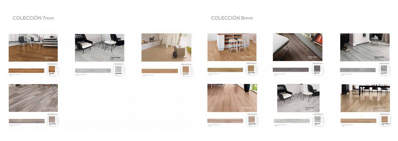

| Strak 1.053 x 593 mm | <b>OAK SIENA</b> |
|----------------------|------------------|

















COLECCION 7mm





drawing stress 1553 x 233 mm

## **COLECCIÓN 7mm COLECCIÓN 8mm**









**ROBLE ROSARNO**